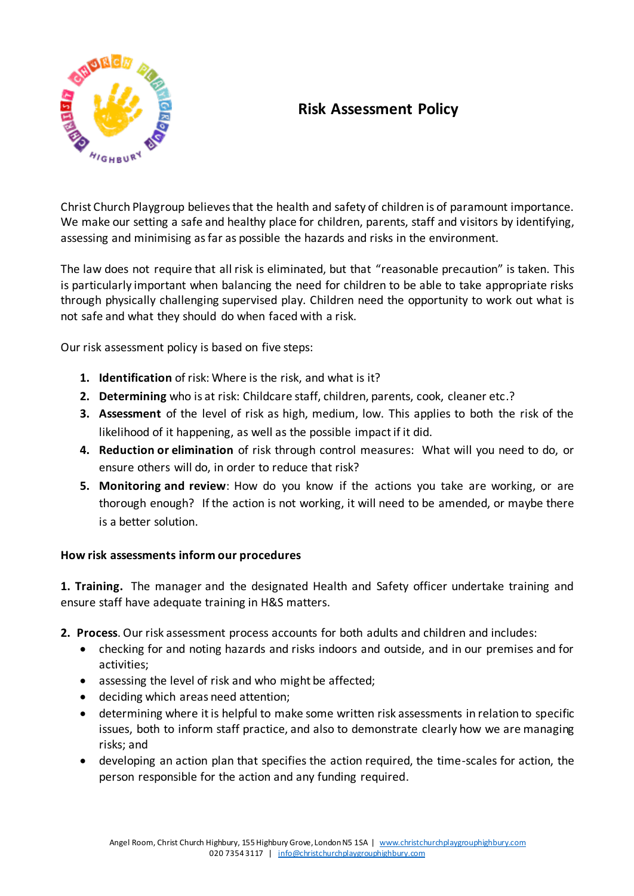

## **Risk Assessment Policy**

Christ Church Playgroup believes that the health and safety of children is of paramount importance. We make our setting a safe and healthy place for children, parents, staff and visitors by identifying, assessing and minimising as far as possible the hazards and risks in the environment.

The law does not require that all risk is eliminated, but that "reasonable precaution" is taken. This is particularly important when balancing the need for children to be able to take appropriate risks through physically challenging supervised play. Children need the opportunity to work out what is not safe and what they should do when faced with a risk.

Our risk assessment policy is based on five steps:

- **1. Identification** of risk: Where is the risk, and what is it?
- **2. Determining** who is at risk: Childcare staff, children, parents, cook, cleaner etc.?
- **3. Assessment** of the level of risk as high, medium, low. This applies to both the risk of the likelihood of it happening, as well as the possible impact if it did.
- **4. Reduction or elimination** of risk through control measures: What will you need to do, or ensure others will do, in order to reduce that risk?
- **5. Monitoring and review**: How do you know if the actions you take are working, or are thorough enough? If the action is not working, it will need to be amended, or maybe there is a better solution.

## **How risk assessments inform our procedures**

**1. Training.** The manager and the designated Health and Safety officer undertake training and ensure staff have adequate training in H&S matters.

**2. Process**. Our risk assessment process accounts for both adults and children and includes:

- checking for and noting hazards and risks indoors and outside, and in our premises and for activities;
- assessing the level of risk and who might be affected;
- deciding which areas need attention;
- determining where it is helpful to make some written risk assessments in relation to specific issues, both to inform staff practice, and also to demonstrate clearly how we are managing risks; and
- developing an action plan that specifies the action required, the time-scales for action, the person responsible for the action and any funding required.